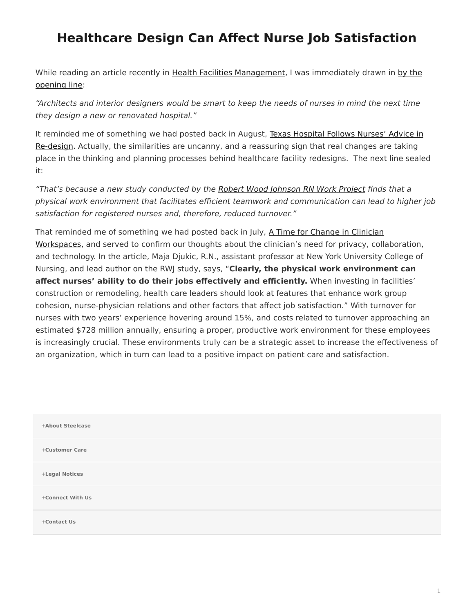## <span id="page-0-0"></span>**Healthcare Design Can Affect Nurse Job Satisfaction**

While reading an article recently in [Health Facilities Management](http://www.hfmmagazine.com/), I was immediately drawn in [by the](http://www.hfmmagazine.com/display/HFM-news-article.dhtml?dcrPath=/templatedata/HF_Common/NewsArticle/data/HFM/Magazine/2014/Sept/upfront-architecture-nurse-job-satisfaction) [opening line:](http://www.hfmmagazine.com/display/HFM-news-article.dhtml?dcrPath=/templatedata/HF_Common/NewsArticle/data/HFM/Magazine/2014/Sept/upfront-architecture-nurse-job-satisfaction)

"Architects and interior designers would be smart to keep the needs of nurses in mind the next time they design a new or renovated hospital."

It reminded me of something we had posted back in August, [Texas Hospital Follows Nurses' Advice in](https://www.steelcase.com/posts/texas-hospital-follows-nurses-advice-in-re-design/) [Re-design.](https://www.steelcase.com/posts/texas-hospital-follows-nurses-advice-in-re-design/) Actually, the similarities are uncanny, and a reassuring sign that real changes are taking place in the thinking and planning processes behind healthcare facility redesigns. The next line sealed it:

"That's because a new study conducted by the [Robert Wood Johnson RN Work Project](http://www.rnworkproject.org/) finds that a physical work environment that facilitates efficient teamwork and communication can lead to higher job satisfaction for registered nurses and, therefore, reduced turnover."

That reminded me of something we had posted back in July, [A Time for Change in Clinician](https://www.steelcase.com/posts/a-time-for-change-in-clinician-workspaces/) [Workspaces,](https://www.steelcase.com/posts/a-time-for-change-in-clinician-workspaces/) and served to confirm our thoughts about the clinician's need for privacy, collaboration, and technology. In the article, Maja Djukic, R.N., assistant professor at New York University College of Nursing, and lead author on the RWJ study, says, "**Clearly, the physical work environment can** affect nurses' ability to do their jobs effectively and efficiently. When investing in facilities' construction or remodeling, health care leaders should look at features that enhance work group cohesion, nurse-physician relations and other factors that affect job satisfaction." With turnover for nurses with two years' experience hovering around 15%, and costs related to turnover approaching an estimated \$728 million annually, ensuring a proper, productive work environment for these employees is increasingly crucial. These environments truly can be a strategic asset to increase the effectiveness of an organization, which in turn can lead to a positive impact on patient care and satisfaction.

| +About Steelcase |
|------------------|
| +Customer Care   |
| +Legal Notices   |
| +Connect With Us |
| +Contact Us      |